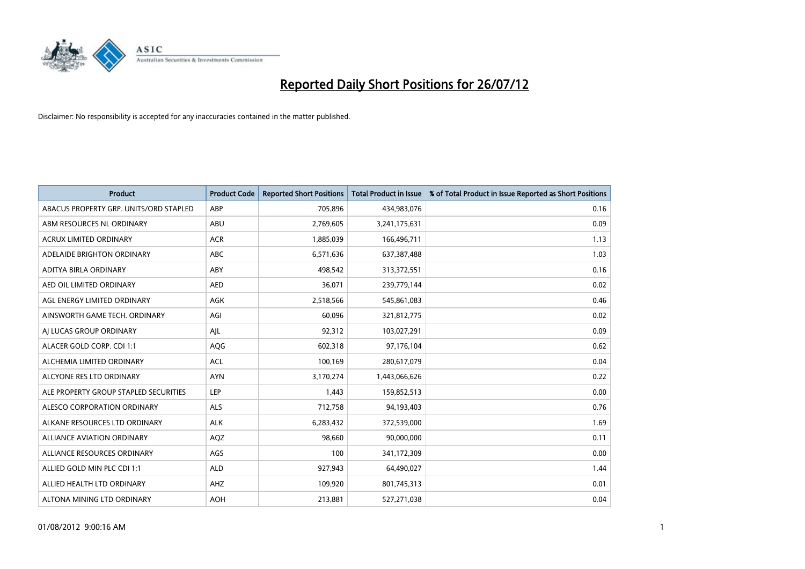

| <b>Product</b>                         | <b>Product Code</b> | <b>Reported Short Positions</b> | <b>Total Product in Issue</b> | % of Total Product in Issue Reported as Short Positions |
|----------------------------------------|---------------------|---------------------------------|-------------------------------|---------------------------------------------------------|
| ABACUS PROPERTY GRP. UNITS/ORD STAPLED | ABP                 | 705,896                         | 434,983,076                   | 0.16                                                    |
| ABM RESOURCES NL ORDINARY              | ABU                 | 2,769,605                       | 3,241,175,631                 | 0.09                                                    |
| <b>ACRUX LIMITED ORDINARY</b>          | <b>ACR</b>          | 1,885,039                       | 166,496,711                   | 1.13                                                    |
| ADELAIDE BRIGHTON ORDINARY             | <b>ABC</b>          | 6,571,636                       | 637, 387, 488                 | 1.03                                                    |
| ADITYA BIRLA ORDINARY                  | ABY                 | 498,542                         | 313,372,551                   | 0.16                                                    |
| AED OIL LIMITED ORDINARY               | <b>AED</b>          | 36,071                          | 239,779,144                   | 0.02                                                    |
| AGL ENERGY LIMITED ORDINARY            | <b>AGK</b>          | 2,518,566                       | 545,861,083                   | 0.46                                                    |
| AINSWORTH GAME TECH. ORDINARY          | AGI                 | 60,096                          | 321,812,775                   | 0.02                                                    |
| AI LUCAS GROUP ORDINARY                | AJL                 | 92,312                          | 103,027,291                   | 0.09                                                    |
| ALACER GOLD CORP. CDI 1:1              | AQG                 | 602,318                         | 97,176,104                    | 0.62                                                    |
| ALCHEMIA LIMITED ORDINARY              | <b>ACL</b>          | 100,169                         | 280,617,079                   | 0.04                                                    |
| ALCYONE RES LTD ORDINARY               | <b>AYN</b>          | 3,170,274                       | 1,443,066,626                 | 0.22                                                    |
| ALE PROPERTY GROUP STAPLED SECURITIES  | LEP                 | 1,443                           | 159,852,513                   | 0.00                                                    |
| ALESCO CORPORATION ORDINARY            | ALS                 | 712,758                         | 94,193,403                    | 0.76                                                    |
| ALKANE RESOURCES LTD ORDINARY          | <b>ALK</b>          | 6,283,432                       | 372,539,000                   | 1.69                                                    |
| ALLIANCE AVIATION ORDINARY             | AQZ                 | 98,660                          | 90,000,000                    | 0.11                                                    |
| ALLIANCE RESOURCES ORDINARY            | AGS                 | 100                             | 341,172,309                   | 0.00                                                    |
| ALLIED GOLD MIN PLC CDI 1:1            | <b>ALD</b>          | 927,943                         | 64,490,027                    | 1.44                                                    |
| ALLIED HEALTH LTD ORDINARY             | AHZ                 | 109,920                         | 801,745,313                   | 0.01                                                    |
| ALTONA MINING LTD ORDINARY             | <b>AOH</b>          | 213.881                         | 527,271,038                   | 0.04                                                    |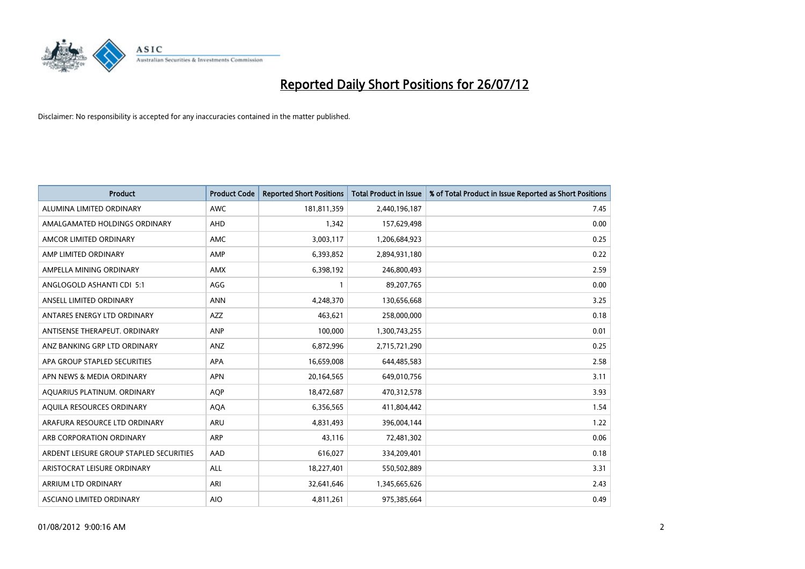

| <b>Product</b>                          | <b>Product Code</b> | <b>Reported Short Positions</b> | <b>Total Product in Issue</b> | % of Total Product in Issue Reported as Short Positions |
|-----------------------------------------|---------------------|---------------------------------|-------------------------------|---------------------------------------------------------|
| ALUMINA LIMITED ORDINARY                | <b>AWC</b>          | 181,811,359                     | 2,440,196,187                 | 7.45                                                    |
| AMALGAMATED HOLDINGS ORDINARY           | <b>AHD</b>          | 1,342                           | 157,629,498                   | 0.00                                                    |
| AMCOR LIMITED ORDINARY                  | <b>AMC</b>          | 3,003,117                       | 1,206,684,923                 | 0.25                                                    |
| AMP LIMITED ORDINARY                    | AMP                 | 6,393,852                       | 2,894,931,180                 | 0.22                                                    |
| AMPELLA MINING ORDINARY                 | <b>AMX</b>          | 6,398,192                       | 246,800,493                   | 2.59                                                    |
| ANGLOGOLD ASHANTI CDI 5:1               | AGG                 |                                 | 89,207,765                    | 0.00                                                    |
| ANSELL LIMITED ORDINARY                 | <b>ANN</b>          | 4,248,370                       | 130,656,668                   | 3.25                                                    |
| ANTARES ENERGY LTD ORDINARY             | <b>AZZ</b>          | 463,621                         | 258,000,000                   | 0.18                                                    |
| ANTISENSE THERAPEUT. ORDINARY           | <b>ANP</b>          | 100,000                         | 1,300,743,255                 | 0.01                                                    |
| ANZ BANKING GRP LTD ORDINARY            | ANZ                 | 6,872,996                       | 2,715,721,290                 | 0.25                                                    |
| APA GROUP STAPLED SECURITIES            | <b>APA</b>          | 16,659,008                      | 644,485,583                   | 2.58                                                    |
| APN NEWS & MEDIA ORDINARY               | <b>APN</b>          | 20,164,565                      | 649,010,756                   | 3.11                                                    |
| AQUARIUS PLATINUM. ORDINARY             | <b>AOP</b>          | 18,472,687                      | 470,312,578                   | 3.93                                                    |
| AQUILA RESOURCES ORDINARY               | <b>AQA</b>          | 6,356,565                       | 411,804,442                   | 1.54                                                    |
| ARAFURA RESOURCE LTD ORDINARY           | <b>ARU</b>          | 4,831,493                       | 396,004,144                   | 1.22                                                    |
| ARB CORPORATION ORDINARY                | <b>ARP</b>          | 43,116                          | 72,481,302                    | 0.06                                                    |
| ARDENT LEISURE GROUP STAPLED SECURITIES | AAD                 | 616,027                         | 334,209,401                   | 0.18                                                    |
| ARISTOCRAT LEISURE ORDINARY             | <b>ALL</b>          | 18,227,401                      | 550,502,889                   | 3.31                                                    |
| <b>ARRIUM LTD ORDINARY</b>              | ARI                 | 32,641,646                      | 1,345,665,626                 | 2.43                                                    |
| <b>ASCIANO LIMITED ORDINARY</b>         | <b>AIO</b>          | 4,811,261                       | 975,385,664                   | 0.49                                                    |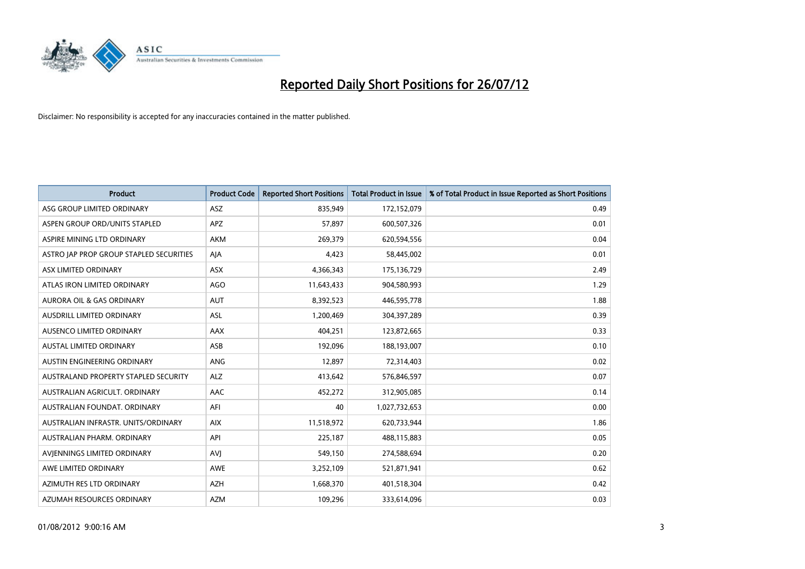

| <b>Product</b>                              | <b>Product Code</b> | <b>Reported Short Positions</b> | <b>Total Product in Issue</b> | % of Total Product in Issue Reported as Short Positions |
|---------------------------------------------|---------------------|---------------------------------|-------------------------------|---------------------------------------------------------|
| ASG GROUP LIMITED ORDINARY                  | <b>ASZ</b>          | 835,949                         | 172,152,079                   | 0.49                                                    |
| ASPEN GROUP ORD/UNITS STAPLED               | <b>APZ</b>          | 57,897                          | 600,507,326                   | 0.01                                                    |
| ASPIRE MINING LTD ORDINARY                  | <b>AKM</b>          | 269,379                         | 620,594,556                   | 0.04                                                    |
| ASTRO JAP PROP GROUP STAPLED SECURITIES     | AJA                 | 4,423                           | 58,445,002                    | 0.01                                                    |
| ASX LIMITED ORDINARY                        | <b>ASX</b>          | 4,366,343                       | 175,136,729                   | 2.49                                                    |
| ATLAS IRON LIMITED ORDINARY                 | <b>AGO</b>          | 11,643,433                      | 904,580,993                   | 1.29                                                    |
| AURORA OIL & GAS ORDINARY                   | <b>AUT</b>          | 8,392,523                       | 446,595,778                   | 1.88                                                    |
| AUSDRILL LIMITED ORDINARY                   | <b>ASL</b>          | 1,200,469                       | 304,397,289                   | 0.39                                                    |
| AUSENCO LIMITED ORDINARY                    | AAX                 | 404,251                         | 123,872,665                   | 0.33                                                    |
| <b>AUSTAL LIMITED ORDINARY</b>              | ASB                 | 192,096                         | 188,193,007                   | 0.10                                                    |
| AUSTIN ENGINEERING ORDINARY                 | ANG                 | 12,897                          | 72,314,403                    | 0.02                                                    |
| <b>AUSTRALAND PROPERTY STAPLED SECURITY</b> | <b>ALZ</b>          | 413,642                         | 576,846,597                   | 0.07                                                    |
| AUSTRALIAN AGRICULT. ORDINARY               | AAC                 | 452,272                         | 312,905,085                   | 0.14                                                    |
| AUSTRALIAN FOUNDAT, ORDINARY                | AFI                 | 40                              | 1,027,732,653                 | 0.00                                                    |
| AUSTRALIAN INFRASTR, UNITS/ORDINARY         | <b>AIX</b>          | 11,518,972                      | 620,733,944                   | 1.86                                                    |
| AUSTRALIAN PHARM. ORDINARY                  | API                 | 225,187                         | 488,115,883                   | 0.05                                                    |
| AVIENNINGS LIMITED ORDINARY                 | <b>AVI</b>          | 549,150                         | 274,588,694                   | 0.20                                                    |
| AWE LIMITED ORDINARY                        | <b>AWE</b>          | 3,252,109                       | 521,871,941                   | 0.62                                                    |
| AZIMUTH RES LTD ORDINARY                    | <b>AZH</b>          | 1,668,370                       | 401,518,304                   | 0.42                                                    |
| AZUMAH RESOURCES ORDINARY                   | <b>AZM</b>          | 109,296                         | 333,614,096                   | 0.03                                                    |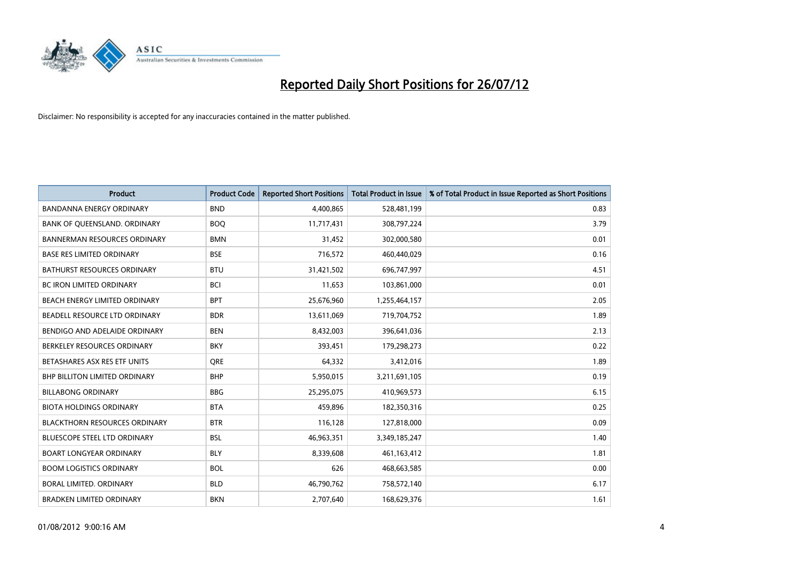

| <b>Product</b>                       | <b>Product Code</b> | <b>Reported Short Positions</b> | <b>Total Product in Issue</b> | % of Total Product in Issue Reported as Short Positions |
|--------------------------------------|---------------------|---------------------------------|-------------------------------|---------------------------------------------------------|
| <b>BANDANNA ENERGY ORDINARY</b>      | <b>BND</b>          | 4,400,865                       | 528,481,199                   | 0.83                                                    |
| BANK OF QUEENSLAND. ORDINARY         | <b>BOQ</b>          | 11,717,431                      | 308,797,224                   | 3.79                                                    |
| <b>BANNERMAN RESOURCES ORDINARY</b>  | <b>BMN</b>          | 31,452                          | 302,000,580                   | 0.01                                                    |
| <b>BASE RES LIMITED ORDINARY</b>     | <b>BSE</b>          | 716,572                         | 460,440,029                   | 0.16                                                    |
| <b>BATHURST RESOURCES ORDINARY</b>   | <b>BTU</b>          | 31,421,502                      | 696,747,997                   | 4.51                                                    |
| <b>BC IRON LIMITED ORDINARY</b>      | <b>BCI</b>          | 11,653                          | 103,861,000                   | 0.01                                                    |
| <b>BEACH ENERGY LIMITED ORDINARY</b> | <b>BPT</b>          | 25,676,960                      | 1,255,464,157                 | 2.05                                                    |
| BEADELL RESOURCE LTD ORDINARY        | <b>BDR</b>          | 13,611,069                      | 719,704,752                   | 1.89                                                    |
| BENDIGO AND ADELAIDE ORDINARY        | <b>BEN</b>          | 8,432,003                       | 396,641,036                   | 2.13                                                    |
| BERKELEY RESOURCES ORDINARY          | <b>BKY</b>          | 393,451                         | 179,298,273                   | 0.22                                                    |
| BETASHARES ASX RES ETF UNITS         | <b>ORE</b>          | 64,332                          | 3,412,016                     | 1.89                                                    |
| <b>BHP BILLITON LIMITED ORDINARY</b> | <b>BHP</b>          | 5,950,015                       | 3,211,691,105                 | 0.19                                                    |
| <b>BILLABONG ORDINARY</b>            | <b>BBG</b>          | 25,295,075                      | 410,969,573                   | 6.15                                                    |
| <b>BIOTA HOLDINGS ORDINARY</b>       | <b>BTA</b>          | 459,896                         | 182,350,316                   | 0.25                                                    |
| <b>BLACKTHORN RESOURCES ORDINARY</b> | <b>BTR</b>          | 116,128                         | 127,818,000                   | 0.09                                                    |
| BLUESCOPE STEEL LTD ORDINARY         | <b>BSL</b>          | 46,963,351                      | 3,349,185,247                 | 1.40                                                    |
| <b>BOART LONGYEAR ORDINARY</b>       | <b>BLY</b>          | 8,339,608                       | 461,163,412                   | 1.81                                                    |
| <b>BOOM LOGISTICS ORDINARY</b>       | <b>BOL</b>          | 626                             | 468,663,585                   | 0.00                                                    |
| BORAL LIMITED, ORDINARY              | <b>BLD</b>          | 46,790,762                      | 758,572,140                   | 6.17                                                    |
| <b>BRADKEN LIMITED ORDINARY</b>      | <b>BKN</b>          | 2,707,640                       | 168,629,376                   | 1.61                                                    |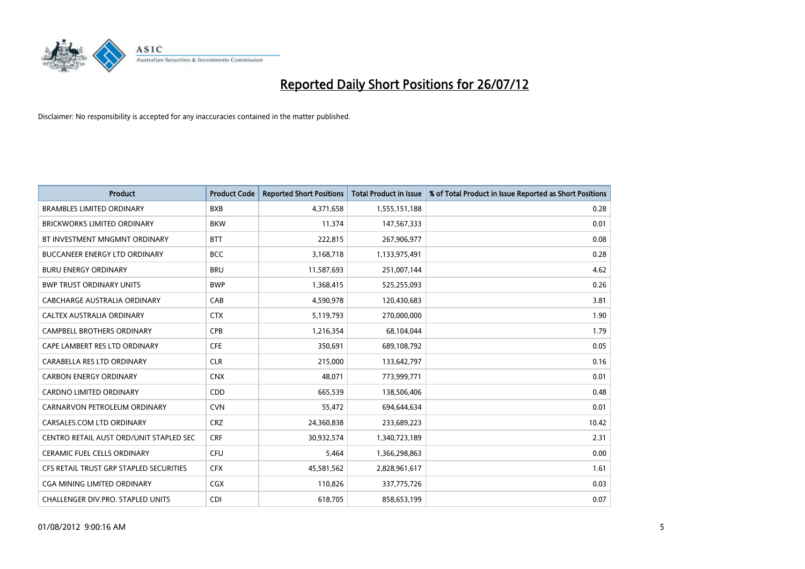

| <b>Product</b>                          | <b>Product Code</b> | <b>Reported Short Positions</b> | <b>Total Product in Issue</b> | % of Total Product in Issue Reported as Short Positions |
|-----------------------------------------|---------------------|---------------------------------|-------------------------------|---------------------------------------------------------|
| <b>BRAMBLES LIMITED ORDINARY</b>        | <b>BXB</b>          | 4,371,658                       | 1,555,151,188                 | 0.28                                                    |
| BRICKWORKS LIMITED ORDINARY             | <b>BKW</b>          | 11,374                          | 147,567,333                   | 0.01                                                    |
| BT INVESTMENT MNGMNT ORDINARY           | <b>BTT</b>          | 222,815                         | 267,906,977                   | 0.08                                                    |
| BUCCANEER ENERGY LTD ORDINARY           | <b>BCC</b>          | 3,168,718                       | 1,133,975,491                 | 0.28                                                    |
| <b>BURU ENERGY ORDINARY</b>             | <b>BRU</b>          | 11,587,693                      | 251,007,144                   | 4.62                                                    |
| <b>BWP TRUST ORDINARY UNITS</b>         | <b>BWP</b>          | 1,368,415                       | 525,255,093                   | 0.26                                                    |
| CABCHARGE AUSTRALIA ORDINARY            | CAB                 | 4,590,978                       | 120,430,683                   | 3.81                                                    |
| CALTEX AUSTRALIA ORDINARY               | <b>CTX</b>          | 5,119,793                       | 270,000,000                   | 1.90                                                    |
| CAMPBELL BROTHERS ORDINARY              | <b>CPB</b>          | 1,216,354                       | 68,104,044                    | 1.79                                                    |
| CAPE LAMBERT RES LTD ORDINARY           | <b>CFE</b>          | 350,691                         | 689,108,792                   | 0.05                                                    |
| CARABELLA RES LTD ORDINARY              | <b>CLR</b>          | 215,000                         | 133,642,797                   | 0.16                                                    |
| <b>CARBON ENERGY ORDINARY</b>           | <b>CNX</b>          | 48,071                          | 773,999,771                   | 0.01                                                    |
| <b>CARDNO LIMITED ORDINARY</b>          | <b>CDD</b>          | 665,539                         | 138,506,406                   | 0.48                                                    |
| CARNARVON PETROLEUM ORDINARY            | <b>CVN</b>          | 55,472                          | 694,644,634                   | 0.01                                                    |
| CARSALES.COM LTD ORDINARY               | <b>CRZ</b>          | 24,360,838                      | 233,689,223                   | 10.42                                                   |
| CENTRO RETAIL AUST ORD/UNIT STAPLED SEC | <b>CRF</b>          | 30,932,574                      | 1,340,723,189                 | 2.31                                                    |
| <b>CERAMIC FUEL CELLS ORDINARY</b>      | CFU                 | 5,464                           | 1,366,298,863                 | 0.00                                                    |
| CFS RETAIL TRUST GRP STAPLED SECURITIES | <b>CFX</b>          | 45,581,562                      | 2,828,961,617                 | 1.61                                                    |
| <b>CGA MINING LIMITED ORDINARY</b>      | <b>CGX</b>          | 110,826                         | 337,775,726                   | 0.03                                                    |
| CHALLENGER DIV.PRO. STAPLED UNITS       | <b>CDI</b>          | 618,705                         | 858,653,199                   | 0.07                                                    |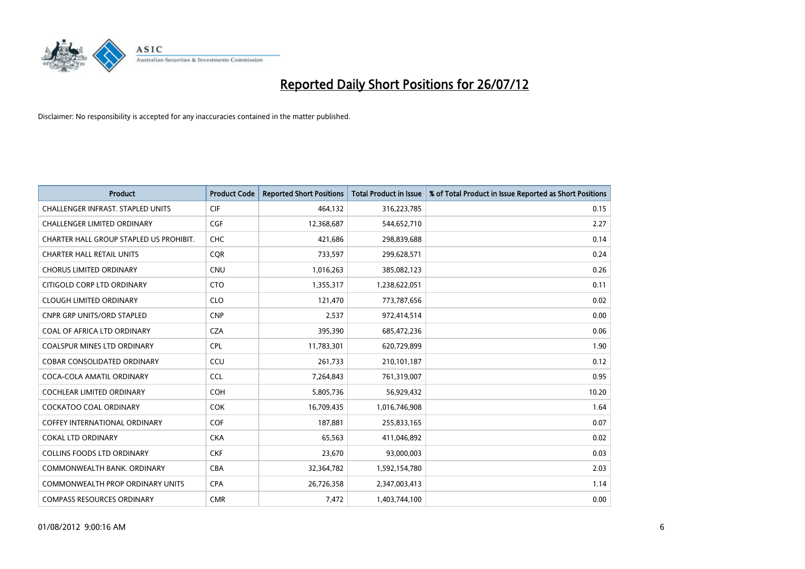

| <b>Product</b>                           | <b>Product Code</b> | <b>Reported Short Positions</b> | <b>Total Product in Issue</b> | % of Total Product in Issue Reported as Short Positions |
|------------------------------------------|---------------------|---------------------------------|-------------------------------|---------------------------------------------------------|
| <b>CHALLENGER INFRAST, STAPLED UNITS</b> | <b>CIF</b>          | 464,132                         | 316,223,785                   | 0.15                                                    |
| CHALLENGER LIMITED ORDINARY              | <b>CGF</b>          | 12,368,687                      | 544,652,710                   | 2.27                                                    |
| CHARTER HALL GROUP STAPLED US PROHIBIT.  | <b>CHC</b>          | 421,686                         | 298,839,688                   | 0.14                                                    |
| <b>CHARTER HALL RETAIL UNITS</b>         | <b>CQR</b>          | 733,597                         | 299,628,571                   | 0.24                                                    |
| <b>CHORUS LIMITED ORDINARY</b>           | <b>CNU</b>          | 1,016,263                       | 385,082,123                   | 0.26                                                    |
| CITIGOLD CORP LTD ORDINARY               | <b>CTO</b>          | 1,355,317                       | 1,238,622,051                 | 0.11                                                    |
| <b>CLOUGH LIMITED ORDINARY</b>           | <b>CLO</b>          | 121,470                         | 773,787,656                   | 0.02                                                    |
| <b>CNPR GRP UNITS/ORD STAPLED</b>        | <b>CNP</b>          | 2,537                           | 972,414,514                   | 0.00                                                    |
| <b>COAL OF AFRICA LTD ORDINARY</b>       | <b>CZA</b>          | 395,390                         | 685,472,236                   | 0.06                                                    |
| <b>COALSPUR MINES LTD ORDINARY</b>       | <b>CPL</b>          | 11,783,301                      | 620,729,899                   | 1.90                                                    |
| COBAR CONSOLIDATED ORDINARY              | CCU                 | 261,733                         | 210,101,187                   | 0.12                                                    |
| COCA-COLA AMATIL ORDINARY                | <b>CCL</b>          | 7,264,843                       | 761,319,007                   | 0.95                                                    |
| COCHLEAR LIMITED ORDINARY                | <b>COH</b>          | 5,805,736                       | 56,929,432                    | 10.20                                                   |
| <b>COCKATOO COAL ORDINARY</b>            | <b>COK</b>          | 16,709,435                      | 1,016,746,908                 | 1.64                                                    |
| <b>COFFEY INTERNATIONAL ORDINARY</b>     | <b>COF</b>          | 187,881                         | 255,833,165                   | 0.07                                                    |
| <b>COKAL LTD ORDINARY</b>                | <b>CKA</b>          | 65,563                          | 411,046,892                   | 0.02                                                    |
| <b>COLLINS FOODS LTD ORDINARY</b>        | <b>CKF</b>          | 23,670                          | 93,000,003                    | 0.03                                                    |
| COMMONWEALTH BANK, ORDINARY              | <b>CBA</b>          | 32,364,782                      | 1,592,154,780                 | 2.03                                                    |
| <b>COMMONWEALTH PROP ORDINARY UNITS</b>  | <b>CPA</b>          | 26,726,358                      | 2,347,003,413                 | 1.14                                                    |
| <b>COMPASS RESOURCES ORDINARY</b>        | <b>CMR</b>          | 7,472                           | 1,403,744,100                 | 0.00                                                    |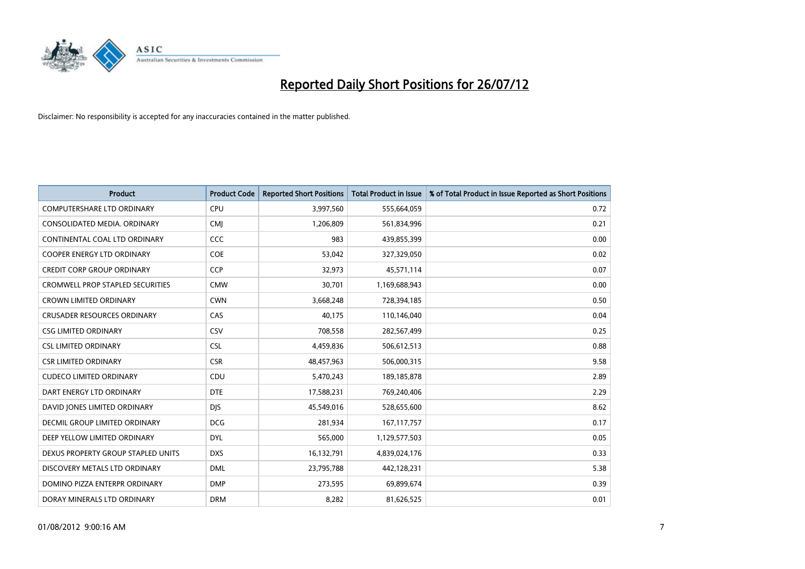

| <b>Product</b>                          | <b>Product Code</b> | <b>Reported Short Positions</b> | <b>Total Product in Issue</b> | % of Total Product in Issue Reported as Short Positions |
|-----------------------------------------|---------------------|---------------------------------|-------------------------------|---------------------------------------------------------|
| <b>COMPUTERSHARE LTD ORDINARY</b>       | CPU                 | 3,997,560                       | 555,664,059                   | 0.72                                                    |
| CONSOLIDATED MEDIA. ORDINARY            | <b>CMI</b>          | 1,206,809                       | 561,834,996                   | 0.21                                                    |
| CONTINENTAL COAL LTD ORDINARY           | CCC                 | 983                             | 439,855,399                   | 0.00                                                    |
| COOPER ENERGY LTD ORDINARY              | <b>COE</b>          | 53,042                          | 327,329,050                   | 0.02                                                    |
| <b>CREDIT CORP GROUP ORDINARY</b>       | <b>CCP</b>          | 32,973                          | 45,571,114                    | 0.07                                                    |
| <b>CROMWELL PROP STAPLED SECURITIES</b> | <b>CMW</b>          | 30,701                          | 1,169,688,943                 | 0.00                                                    |
| <b>CROWN LIMITED ORDINARY</b>           | <b>CWN</b>          | 3,668,248                       | 728,394,185                   | 0.50                                                    |
| <b>CRUSADER RESOURCES ORDINARY</b>      | CAS                 | 40,175                          | 110,146,040                   | 0.04                                                    |
| <b>CSG LIMITED ORDINARY</b>             | CSV                 | 708,558                         | 282,567,499                   | 0.25                                                    |
| <b>CSL LIMITED ORDINARY</b>             | <b>CSL</b>          | 4,459,836                       | 506,612,513                   | 0.88                                                    |
| <b>CSR LIMITED ORDINARY</b>             | <b>CSR</b>          | 48,457,963                      | 506,000,315                   | 9.58                                                    |
| <b>CUDECO LIMITED ORDINARY</b>          | CDU                 | 5,470,243                       | 189, 185, 878                 | 2.89                                                    |
| DART ENERGY LTD ORDINARY                | <b>DTE</b>          | 17,588,231                      | 769,240,406                   | 2.29                                                    |
| DAVID JONES LIMITED ORDINARY            | <b>DIS</b>          | 45,549,016                      | 528,655,600                   | 8.62                                                    |
| DECMIL GROUP LIMITED ORDINARY           | <b>DCG</b>          | 281,934                         | 167, 117, 757                 | 0.17                                                    |
| DEEP YELLOW LIMITED ORDINARY            | <b>DYL</b>          | 565,000                         | 1,129,577,503                 | 0.05                                                    |
| DEXUS PROPERTY GROUP STAPLED UNITS      | <b>DXS</b>          | 16,132,791                      | 4,839,024,176                 | 0.33                                                    |
| DISCOVERY METALS LTD ORDINARY           | <b>DML</b>          | 23,795,788                      | 442,128,231                   | 5.38                                                    |
| DOMINO PIZZA ENTERPR ORDINARY           | <b>DMP</b>          | 273,595                         | 69,899,674                    | 0.39                                                    |
| DORAY MINERALS LTD ORDINARY             | <b>DRM</b>          | 8,282                           | 81,626,525                    | 0.01                                                    |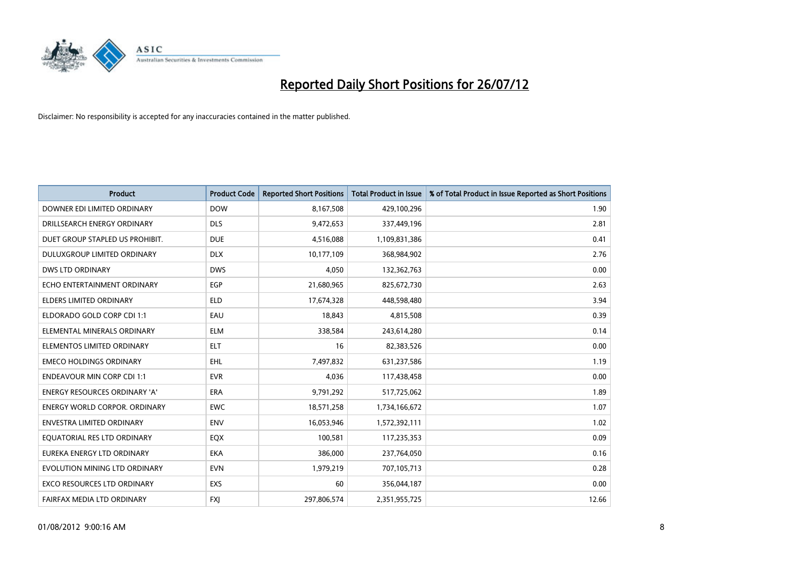

| <b>Product</b>                       | <b>Product Code</b> | <b>Reported Short Positions</b> | <b>Total Product in Issue</b> | % of Total Product in Issue Reported as Short Positions |
|--------------------------------------|---------------------|---------------------------------|-------------------------------|---------------------------------------------------------|
| DOWNER EDI LIMITED ORDINARY          | <b>DOW</b>          | 8,167,508                       | 429,100,296                   | 1.90                                                    |
| DRILLSEARCH ENERGY ORDINARY          | <b>DLS</b>          | 9,472,653                       | 337,449,196                   | 2.81                                                    |
| DUET GROUP STAPLED US PROHIBIT.      | <b>DUE</b>          | 4,516,088                       | 1,109,831,386                 | 0.41                                                    |
| DULUXGROUP LIMITED ORDINARY          | <b>DLX</b>          | 10,177,109                      | 368,984,902                   | 2.76                                                    |
| <b>DWS LTD ORDINARY</b>              | <b>DWS</b>          | 4,050                           | 132,362,763                   | 0.00                                                    |
| ECHO ENTERTAINMENT ORDINARY          | EGP                 | 21,680,965                      | 825,672,730                   | 2.63                                                    |
| <b>ELDERS LIMITED ORDINARY</b>       | <b>ELD</b>          | 17,674,328                      | 448,598,480                   | 3.94                                                    |
| ELDORADO GOLD CORP CDI 1:1           | EAU                 | 18,843                          | 4,815,508                     | 0.39                                                    |
| ELEMENTAL MINERALS ORDINARY          | <b>ELM</b>          | 338,584                         | 243,614,280                   | 0.14                                                    |
| ELEMENTOS LIMITED ORDINARY           | <b>ELT</b>          | 16                              | 82,383,526                    | 0.00                                                    |
| <b>EMECO HOLDINGS ORDINARY</b>       | <b>EHL</b>          | 7,497,832                       | 631,237,586                   | 1.19                                                    |
| <b>ENDEAVOUR MIN CORP CDI 1:1</b>    | <b>EVR</b>          | 4,036                           | 117,438,458                   | 0.00                                                    |
| <b>ENERGY RESOURCES ORDINARY 'A'</b> | <b>ERA</b>          | 9,791,292                       | 517,725,062                   | 1.89                                                    |
| <b>ENERGY WORLD CORPOR, ORDINARY</b> | <b>EWC</b>          | 18,571,258                      | 1,734,166,672                 | 1.07                                                    |
| ENVESTRA LIMITED ORDINARY            | <b>ENV</b>          | 16,053,946                      | 1,572,392,111                 | 1.02                                                    |
| EQUATORIAL RES LTD ORDINARY          | EQX                 | 100,581                         | 117,235,353                   | 0.09                                                    |
| EUREKA ENERGY LTD ORDINARY           | <b>EKA</b>          | 386,000                         | 237,764,050                   | 0.16                                                    |
| EVOLUTION MINING LTD ORDINARY        | <b>EVN</b>          | 1,979,219                       | 707,105,713                   | 0.28                                                    |
| <b>EXCO RESOURCES LTD ORDINARY</b>   | <b>EXS</b>          | 60                              | 356,044,187                   | 0.00                                                    |
| FAIRFAX MEDIA LTD ORDINARY           | <b>FXI</b>          | 297,806,574                     | 2,351,955,725                 | 12.66                                                   |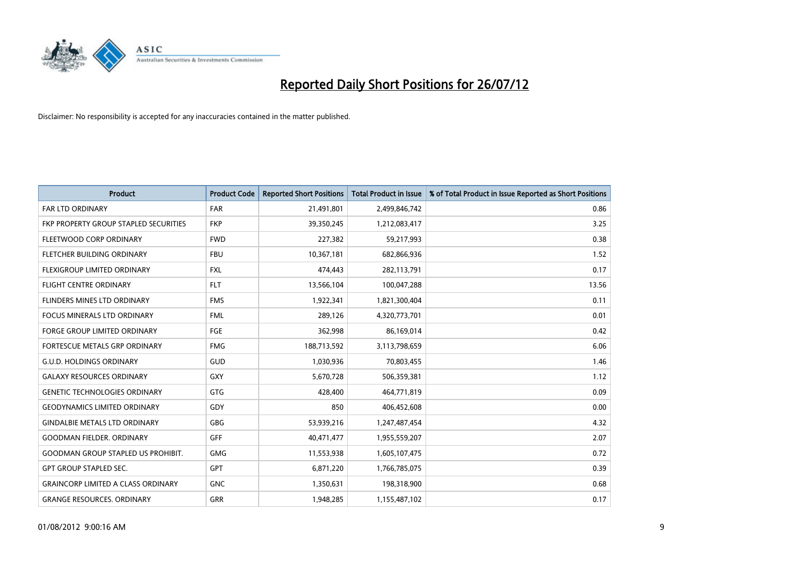

| <b>Product</b>                            | <b>Product Code</b> | <b>Reported Short Positions</b> | <b>Total Product in Issue</b> | % of Total Product in Issue Reported as Short Positions |
|-------------------------------------------|---------------------|---------------------------------|-------------------------------|---------------------------------------------------------|
| <b>FAR LTD ORDINARY</b>                   | <b>FAR</b>          | 21,491,801                      | 2,499,846,742                 | 0.86                                                    |
| FKP PROPERTY GROUP STAPLED SECURITIES     | <b>FKP</b>          | 39,350,245                      | 1,212,083,417                 | 3.25                                                    |
| FLEETWOOD CORP ORDINARY                   | <b>FWD</b>          | 227,382                         | 59,217,993                    | 0.38                                                    |
| FLETCHER BUILDING ORDINARY                | <b>FBU</b>          | 10,367,181                      | 682,866,936                   | 1.52                                                    |
| <b>FLEXIGROUP LIMITED ORDINARY</b>        | <b>FXL</b>          | 474,443                         | 282,113,791                   | 0.17                                                    |
| <b>FLIGHT CENTRE ORDINARY</b>             | <b>FLT</b>          | 13,566,104                      | 100,047,288                   | 13.56                                                   |
| FLINDERS MINES LTD ORDINARY               | <b>FMS</b>          | 1,922,341                       | 1,821,300,404                 | 0.11                                                    |
| <b>FOCUS MINERALS LTD ORDINARY</b>        | <b>FML</b>          | 289,126                         | 4,320,773,701                 | 0.01                                                    |
| FORGE GROUP LIMITED ORDINARY              | FGE                 | 362,998                         | 86,169,014                    | 0.42                                                    |
| FORTESCUE METALS GRP ORDINARY             | <b>FMG</b>          | 188,713,592                     | 3,113,798,659                 | 6.06                                                    |
| <b>G.U.D. HOLDINGS ORDINARY</b>           | GUD                 | 1,030,936                       | 70,803,455                    | 1.46                                                    |
| <b>GALAXY RESOURCES ORDINARY</b>          | <b>GXY</b>          | 5,670,728                       | 506,359,381                   | 1.12                                                    |
| <b>GENETIC TECHNOLOGIES ORDINARY</b>      | <b>GTG</b>          | 428,400                         | 464,771,819                   | 0.09                                                    |
| <b>GEODYNAMICS LIMITED ORDINARY</b>       | GDY                 | 850                             | 406,452,608                   | 0.00                                                    |
| <b>GINDALBIE METALS LTD ORDINARY</b>      | <b>GBG</b>          | 53,939,216                      | 1,247,487,454                 | 4.32                                                    |
| <b>GOODMAN FIELDER, ORDINARY</b>          | GFF                 | 40,471,477                      | 1,955,559,207                 | 2.07                                                    |
| <b>GOODMAN GROUP STAPLED US PROHIBIT.</b> | <b>GMG</b>          | 11,553,938                      | 1,605,107,475                 | 0.72                                                    |
| <b>GPT GROUP STAPLED SEC.</b>             | <b>GPT</b>          | 6,871,220                       | 1,766,785,075                 | 0.39                                                    |
| <b>GRAINCORP LIMITED A CLASS ORDINARY</b> | <b>GNC</b>          | 1,350,631                       | 198,318,900                   | 0.68                                                    |
| <b>GRANGE RESOURCES, ORDINARY</b>         | <b>GRR</b>          | 1.948.285                       | 1,155,487,102                 | 0.17                                                    |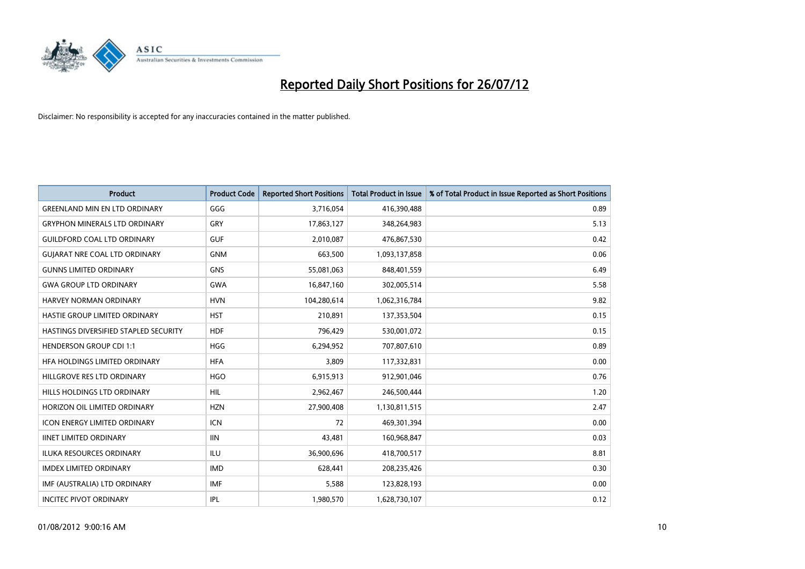

| <b>Product</b>                        | <b>Product Code</b> | <b>Reported Short Positions</b> | <b>Total Product in Issue</b> | % of Total Product in Issue Reported as Short Positions |
|---------------------------------------|---------------------|---------------------------------|-------------------------------|---------------------------------------------------------|
| <b>GREENLAND MIN EN LTD ORDINARY</b>  | GGG                 | 3,716,054                       | 416,390,488                   | 0.89                                                    |
| <b>GRYPHON MINERALS LTD ORDINARY</b>  | GRY                 | 17,863,127                      | 348,264,983                   | 5.13                                                    |
| <b>GUILDFORD COAL LTD ORDINARY</b>    | <b>GUF</b>          | 2,010,087                       | 476,867,530                   | 0.42                                                    |
| <b>GUJARAT NRE COAL LTD ORDINARY</b>  | <b>GNM</b>          | 663,500                         | 1,093,137,858                 | 0.06                                                    |
| <b>GUNNS LIMITED ORDINARY</b>         | <b>GNS</b>          | 55,081,063                      | 848,401,559                   | 6.49                                                    |
| <b>GWA GROUP LTD ORDINARY</b>         | <b>GWA</b>          | 16,847,160                      | 302,005,514                   | 5.58                                                    |
| HARVEY NORMAN ORDINARY                | <b>HVN</b>          | 104,280,614                     | 1,062,316,784                 | 9.82                                                    |
| HASTIE GROUP LIMITED ORDINARY         | <b>HST</b>          | 210,891                         | 137,353,504                   | 0.15                                                    |
| HASTINGS DIVERSIFIED STAPLED SECURITY | <b>HDF</b>          | 796,429                         | 530,001,072                   | 0.15                                                    |
| <b>HENDERSON GROUP CDI 1:1</b>        | <b>HGG</b>          | 6,294,952                       | 707,807,610                   | 0.89                                                    |
| HFA HOLDINGS LIMITED ORDINARY         | <b>HFA</b>          | 3,809                           | 117,332,831                   | 0.00                                                    |
| HILLGROVE RES LTD ORDINARY            | <b>HGO</b>          | 6,915,913                       | 912,901,046                   | 0.76                                                    |
| HILLS HOLDINGS LTD ORDINARY           | <b>HIL</b>          | 2,962,467                       | 246,500,444                   | 1.20                                                    |
| HORIZON OIL LIMITED ORDINARY          | <b>HZN</b>          | 27,900,408                      | 1,130,811,515                 | 2.47                                                    |
| <b>ICON ENERGY LIMITED ORDINARY</b>   | <b>ICN</b>          | 72                              | 469,301,394                   | 0.00                                                    |
| <b>IINET LIMITED ORDINARY</b>         | <b>IIN</b>          | 43,481                          | 160,968,847                   | 0.03                                                    |
| ILUKA RESOURCES ORDINARY              | ILU                 | 36,900,696                      | 418,700,517                   | 8.81                                                    |
| <b>IMDEX LIMITED ORDINARY</b>         | <b>IMD</b>          | 628,441                         | 208,235,426                   | 0.30                                                    |
| IMF (AUSTRALIA) LTD ORDINARY          | <b>IMF</b>          | 5,588                           | 123,828,193                   | 0.00                                                    |
| <b>INCITEC PIVOT ORDINARY</b>         | <b>IPL</b>          | 1,980,570                       | 1,628,730,107                 | 0.12                                                    |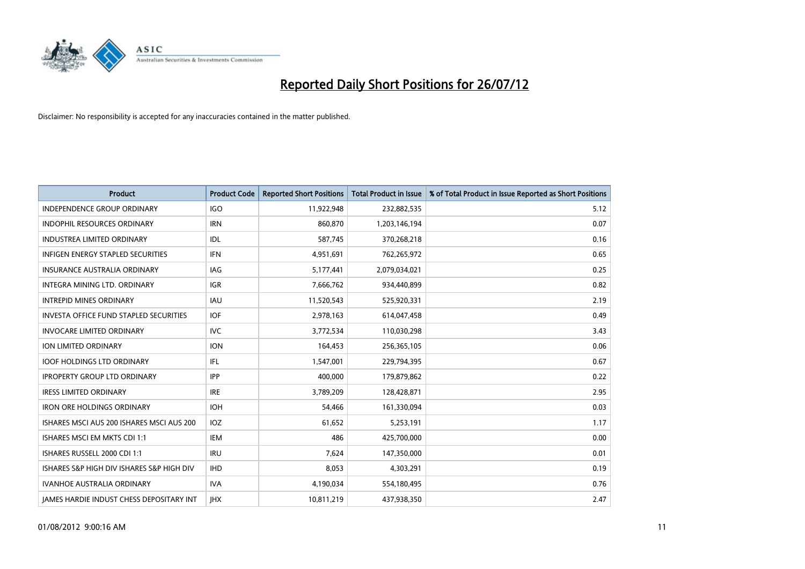

| <b>Product</b>                                  | <b>Product Code</b> | <b>Reported Short Positions</b> | <b>Total Product in Issue</b> | % of Total Product in Issue Reported as Short Positions |
|-------------------------------------------------|---------------------|---------------------------------|-------------------------------|---------------------------------------------------------|
| <b>INDEPENDENCE GROUP ORDINARY</b>              | <b>IGO</b>          | 11,922,948                      | 232,882,535                   | 5.12                                                    |
| INDOPHIL RESOURCES ORDINARY                     | <b>IRN</b>          | 860,870                         | 1,203,146,194                 | 0.07                                                    |
| <b>INDUSTREA LIMITED ORDINARY</b>               | IDL                 | 587,745                         | 370,268,218                   | 0.16                                                    |
| INFIGEN ENERGY STAPLED SECURITIES               | <b>IFN</b>          | 4,951,691                       | 762,265,972                   | 0.65                                                    |
| <b>INSURANCE AUSTRALIA ORDINARY</b>             | IAG                 | 5,177,441                       | 2,079,034,021                 | 0.25                                                    |
| INTEGRA MINING LTD, ORDINARY                    | <b>IGR</b>          | 7,666,762                       | 934,440,899                   | 0.82                                                    |
| <b>INTREPID MINES ORDINARY</b>                  | <b>IAU</b>          | 11,520,543                      | 525,920,331                   | 2.19                                                    |
| <b>INVESTA OFFICE FUND STAPLED SECURITIES</b>   | <b>IOF</b>          | 2,978,163                       | 614,047,458                   | 0.49                                                    |
| <b>INVOCARE LIMITED ORDINARY</b>                | <b>IVC</b>          | 3,772,534                       | 110,030,298                   | 3.43                                                    |
| ION LIMITED ORDINARY                            | <b>ION</b>          | 164,453                         | 256,365,105                   | 0.06                                                    |
| <b>IOOF HOLDINGS LTD ORDINARY</b>               | IFL                 | 1,547,001                       | 229,794,395                   | 0.67                                                    |
| <b>IPROPERTY GROUP LTD ORDINARY</b>             | <b>IPP</b>          | 400,000                         | 179,879,862                   | 0.22                                                    |
| <b>IRESS LIMITED ORDINARY</b>                   | <b>IRE</b>          | 3,789,209                       | 128,428,871                   | 2.95                                                    |
| <b>IRON ORE HOLDINGS ORDINARY</b>               | <b>IOH</b>          | 54,466                          | 161,330,094                   | 0.03                                                    |
| ISHARES MSCI AUS 200 ISHARES MSCI AUS 200       | IOZ                 | 61,652                          | 5,253,191                     | 1.17                                                    |
| ISHARES MSCI EM MKTS CDI 1:1                    | IEM                 | 486                             | 425,700,000                   | 0.00                                                    |
| ISHARES RUSSELL 2000 CDI 1:1                    | <b>IRU</b>          | 7,624                           | 147,350,000                   | 0.01                                                    |
| ISHARES S&P HIGH DIV ISHARES S&P HIGH DIV       | <b>IHD</b>          | 8,053                           | 4,303,291                     | 0.19                                                    |
| <b>IVANHOE AUSTRALIA ORDINARY</b>               | <b>IVA</b>          | 4,190,034                       | 554,180,495                   | 0.76                                                    |
| <b>IAMES HARDIE INDUST CHESS DEPOSITARY INT</b> | <b>IHX</b>          | 10,811,219                      | 437,938,350                   | 2.47                                                    |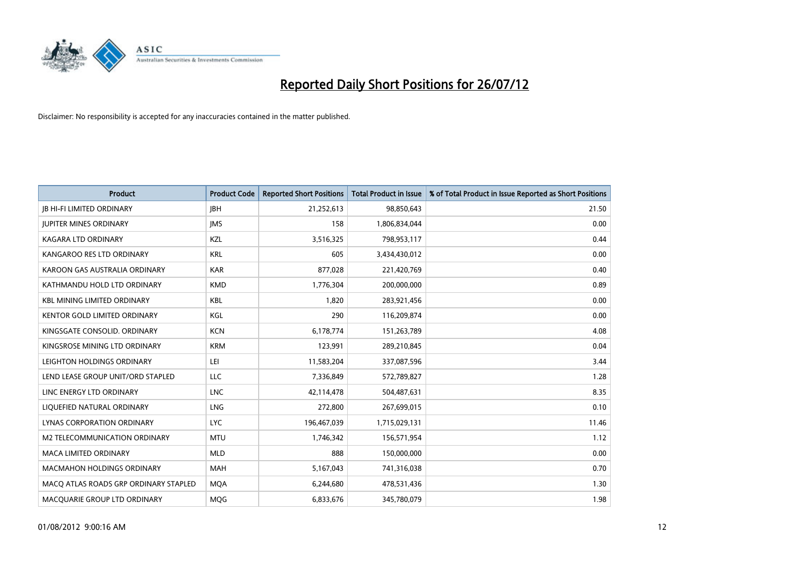

| <b>Product</b>                        | <b>Product Code</b> | <b>Reported Short Positions</b> | <b>Total Product in Issue</b> | % of Total Product in Issue Reported as Short Positions |
|---------------------------------------|---------------------|---------------------------------|-------------------------------|---------------------------------------------------------|
| <b>JB HI-FI LIMITED ORDINARY</b>      | <b>IBH</b>          | 21,252,613                      | 98,850,643                    | 21.50                                                   |
| <b>JUPITER MINES ORDINARY</b>         | <b>IMS</b>          | 158                             | 1,806,834,044                 | 0.00                                                    |
| <b>KAGARA LTD ORDINARY</b>            | <b>KZL</b>          | 3,516,325                       | 798,953,117                   | 0.44                                                    |
| KANGAROO RES LTD ORDINARY             | <b>KRL</b>          | 605                             | 3,434,430,012                 | 0.00                                                    |
| KAROON GAS AUSTRALIA ORDINARY         | <b>KAR</b>          | 877,028                         | 221,420,769                   | 0.40                                                    |
| KATHMANDU HOLD LTD ORDINARY           | <b>KMD</b>          | 1,776,304                       | 200,000,000                   | 0.89                                                    |
| <b>KBL MINING LIMITED ORDINARY</b>    | <b>KBL</b>          | 1,820                           | 283,921,456                   | 0.00                                                    |
| KENTOR GOLD LIMITED ORDINARY          | KGL                 | 290                             | 116,209,874                   | 0.00                                                    |
| KINGSGATE CONSOLID. ORDINARY          | <b>KCN</b>          | 6,178,774                       | 151,263,789                   | 4.08                                                    |
| KINGSROSE MINING LTD ORDINARY         | <b>KRM</b>          | 123,991                         | 289,210,845                   | 0.04                                                    |
| LEIGHTON HOLDINGS ORDINARY            | LEI                 | 11,583,204                      | 337,087,596                   | 3.44                                                    |
| LEND LEASE GROUP UNIT/ORD STAPLED     | LLC                 | 7,336,849                       | 572,789,827                   | 1.28                                                    |
| LINC ENERGY LTD ORDINARY              | <b>LNC</b>          | 42,114,478                      | 504,487,631                   | 8.35                                                    |
| LIQUEFIED NATURAL ORDINARY            | <b>LNG</b>          | 272,800                         | 267,699,015                   | 0.10                                                    |
| <b>LYNAS CORPORATION ORDINARY</b>     | <b>LYC</b>          | 196,467,039                     | 1,715,029,131                 | 11.46                                                   |
| M2 TELECOMMUNICATION ORDINARY         | <b>MTU</b>          | 1,746,342                       | 156,571,954                   | 1.12                                                    |
| MACA LIMITED ORDINARY                 | <b>MLD</b>          | 888                             | 150,000,000                   | 0.00                                                    |
| <b>MACMAHON HOLDINGS ORDINARY</b>     | <b>MAH</b>          | 5,167,043                       | 741,316,038                   | 0.70                                                    |
| MACO ATLAS ROADS GRP ORDINARY STAPLED | <b>MQA</b>          | 6,244,680                       | 478,531,436                   | 1.30                                                    |
| MACQUARIE GROUP LTD ORDINARY          | <b>MOG</b>          | 6,833,676                       | 345,780,079                   | 1.98                                                    |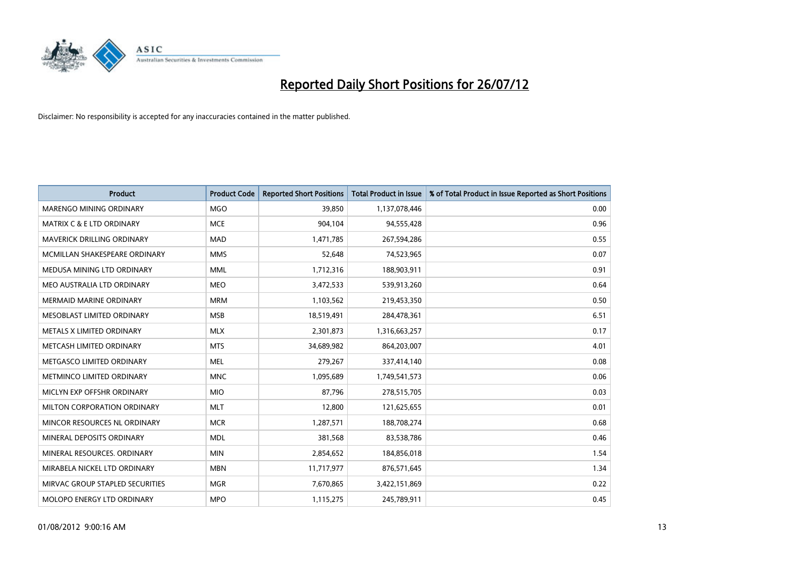

| <b>Product</b>                       | <b>Product Code</b> | <b>Reported Short Positions</b> | <b>Total Product in Issue</b> | % of Total Product in Issue Reported as Short Positions |
|--------------------------------------|---------------------|---------------------------------|-------------------------------|---------------------------------------------------------|
| <b>MARENGO MINING ORDINARY</b>       | <b>MGO</b>          | 39,850                          | 1,137,078,446                 | 0.00                                                    |
| <b>MATRIX C &amp; E LTD ORDINARY</b> | <b>MCE</b>          | 904,104                         | 94,555,428                    | 0.96                                                    |
| <b>MAVERICK DRILLING ORDINARY</b>    | <b>MAD</b>          | 1,471,785                       | 267,594,286                   | 0.55                                                    |
| MCMILLAN SHAKESPEARE ORDINARY        | <b>MMS</b>          | 52,648                          | 74,523,965                    | 0.07                                                    |
| MEDUSA MINING LTD ORDINARY           | <b>MML</b>          | 1,712,316                       | 188,903,911                   | 0.91                                                    |
| MEO AUSTRALIA LTD ORDINARY           | <b>MEO</b>          | 3,472,533                       | 539,913,260                   | 0.64                                                    |
| <b>MERMAID MARINE ORDINARY</b>       | <b>MRM</b>          | 1,103,562                       | 219,453,350                   | 0.50                                                    |
| MESOBLAST LIMITED ORDINARY           | <b>MSB</b>          | 18,519,491                      | 284,478,361                   | 6.51                                                    |
| METALS X LIMITED ORDINARY            | <b>MLX</b>          | 2,301,873                       | 1,316,663,257                 | 0.17                                                    |
| METCASH LIMITED ORDINARY             | <b>MTS</b>          | 34,689,982                      | 864,203,007                   | 4.01                                                    |
| METGASCO LIMITED ORDINARY            | <b>MEL</b>          | 279,267                         | 337,414,140                   | 0.08                                                    |
| METMINCO LIMITED ORDINARY            | <b>MNC</b>          | 1,095,689                       | 1,749,541,573                 | 0.06                                                    |
| MICLYN EXP OFFSHR ORDINARY           | <b>MIO</b>          | 87,796                          | 278,515,705                   | 0.03                                                    |
| MILTON CORPORATION ORDINARY          | <b>MLT</b>          | 12,800                          | 121,625,655                   | 0.01                                                    |
| MINCOR RESOURCES NL ORDINARY         | <b>MCR</b>          | 1,287,571                       | 188,708,274                   | 0.68                                                    |
| MINERAL DEPOSITS ORDINARY            | <b>MDL</b>          | 381,568                         | 83,538,786                    | 0.46                                                    |
| MINERAL RESOURCES. ORDINARY          | <b>MIN</b>          | 2,854,652                       | 184,856,018                   | 1.54                                                    |
| MIRABELA NICKEL LTD ORDINARY         | <b>MBN</b>          | 11,717,977                      | 876,571,645                   | 1.34                                                    |
| MIRVAC GROUP STAPLED SECURITIES      | <b>MGR</b>          | 7,670,865                       | 3,422,151,869                 | 0.22                                                    |
| MOLOPO ENERGY LTD ORDINARY           | <b>MPO</b>          | 1,115,275                       | 245,789,911                   | 0.45                                                    |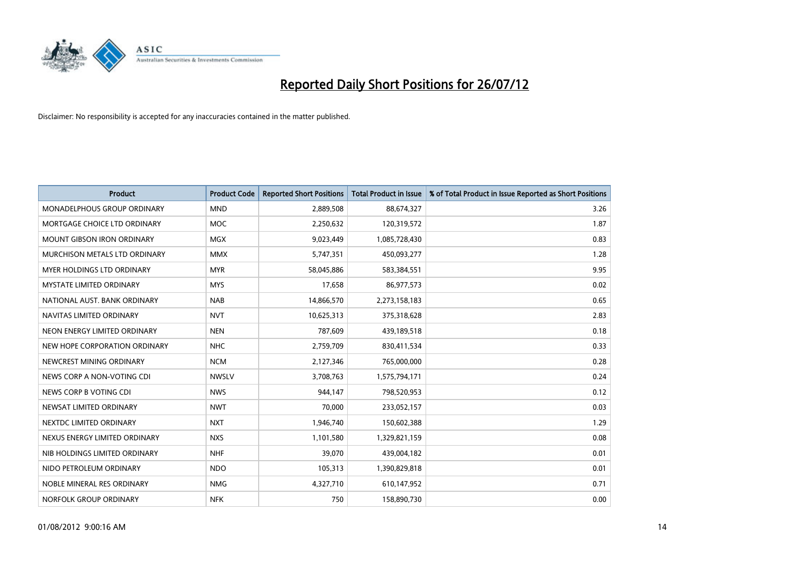

| <b>Product</b>                     | <b>Product Code</b> | <b>Reported Short Positions</b> | Total Product in Issue | % of Total Product in Issue Reported as Short Positions |
|------------------------------------|---------------------|---------------------------------|------------------------|---------------------------------------------------------|
| <b>MONADELPHOUS GROUP ORDINARY</b> | <b>MND</b>          | 2,889,508                       | 88,674,327             | 3.26                                                    |
| MORTGAGE CHOICE LTD ORDINARY       | <b>MOC</b>          | 2,250,632                       | 120,319,572            | 1.87                                                    |
| <b>MOUNT GIBSON IRON ORDINARY</b>  | <b>MGX</b>          | 9,023,449                       | 1,085,728,430          | 0.83                                                    |
| MURCHISON METALS LTD ORDINARY      | <b>MMX</b>          | 5,747,351                       | 450,093,277            | 1.28                                                    |
| MYER HOLDINGS LTD ORDINARY         | <b>MYR</b>          | 58,045,886                      | 583,384,551            | 9.95                                                    |
| <b>MYSTATE LIMITED ORDINARY</b>    | <b>MYS</b>          | 17,658                          | 86,977,573             | 0.02                                                    |
| NATIONAL AUST. BANK ORDINARY       | <b>NAB</b>          | 14,866,570                      | 2,273,158,183          | 0.65                                                    |
| NAVITAS LIMITED ORDINARY           | <b>NVT</b>          | 10,625,313                      | 375,318,628            | 2.83                                                    |
| NEON ENERGY LIMITED ORDINARY       | <b>NEN</b>          | 787,609                         | 439,189,518            | 0.18                                                    |
| NEW HOPE CORPORATION ORDINARY      | <b>NHC</b>          | 2,759,709                       | 830,411,534            | 0.33                                                    |
| NEWCREST MINING ORDINARY           | <b>NCM</b>          | 2,127,346                       | 765,000,000            | 0.28                                                    |
| NEWS CORP A NON-VOTING CDI         | <b>NWSLV</b>        | 3,708,763                       | 1,575,794,171          | 0.24                                                    |
| NEWS CORP B VOTING CDI             | <b>NWS</b>          | 944.147                         | 798,520,953            | 0.12                                                    |
| NEWSAT LIMITED ORDINARY            | <b>NWT</b>          | 70,000                          | 233,052,157            | 0.03                                                    |
| NEXTDC LIMITED ORDINARY            | <b>NXT</b>          | 1,946,740                       | 150,602,388            | 1.29                                                    |
| NEXUS ENERGY LIMITED ORDINARY      | <b>NXS</b>          | 1,101,580                       | 1,329,821,159          | 0.08                                                    |
| NIB HOLDINGS LIMITED ORDINARY      | <b>NHF</b>          | 39,070                          | 439,004,182            | 0.01                                                    |
| NIDO PETROLEUM ORDINARY            | <b>NDO</b>          | 105,313                         | 1,390,829,818          | 0.01                                                    |
| NOBLE MINERAL RES ORDINARY         | <b>NMG</b>          | 4,327,710                       | 610,147,952            | 0.71                                                    |
| NORFOLK GROUP ORDINARY             | <b>NFK</b>          | 750                             | 158,890,730            | 0.00                                                    |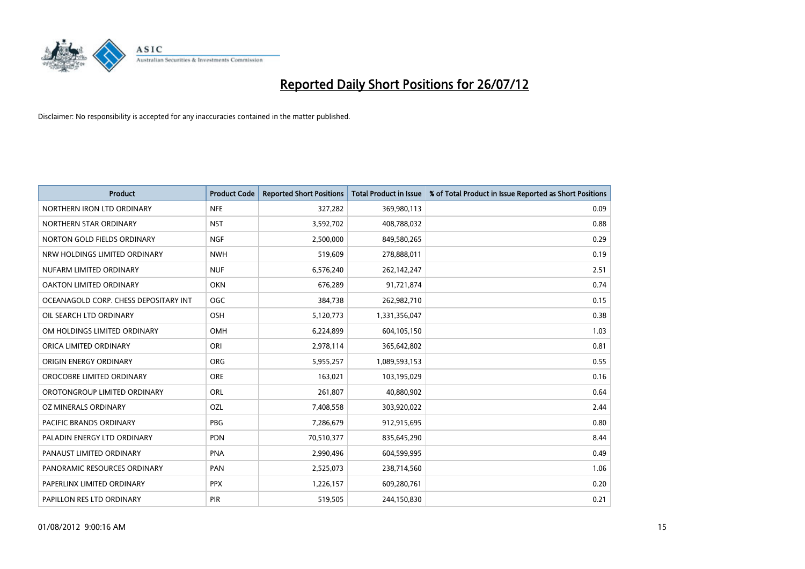

| <b>Product</b>                        | <b>Product Code</b> | <b>Reported Short Positions</b> | <b>Total Product in Issue</b> | % of Total Product in Issue Reported as Short Positions |
|---------------------------------------|---------------------|---------------------------------|-------------------------------|---------------------------------------------------------|
| NORTHERN IRON LTD ORDINARY            | <b>NFE</b>          | 327,282                         | 369,980,113                   | 0.09                                                    |
| NORTHERN STAR ORDINARY                | <b>NST</b>          | 3,592,702                       | 408,788,032                   | 0.88                                                    |
| NORTON GOLD FIELDS ORDINARY           | <b>NGF</b>          | 2,500,000                       | 849,580,265                   | 0.29                                                    |
| NRW HOLDINGS LIMITED ORDINARY         | <b>NWH</b>          | 519,609                         | 278,888,011                   | 0.19                                                    |
| NUFARM LIMITED ORDINARY               | <b>NUF</b>          | 6,576,240                       | 262,142,247                   | 2.51                                                    |
| OAKTON LIMITED ORDINARY               | <b>OKN</b>          | 676,289                         | 91,721,874                    | 0.74                                                    |
| OCEANAGOLD CORP. CHESS DEPOSITARY INT | <b>OGC</b>          | 384,738                         | 262,982,710                   | 0.15                                                    |
| OIL SEARCH LTD ORDINARY               | OSH                 | 5,120,773                       | 1,331,356,047                 | 0.38                                                    |
| OM HOLDINGS LIMITED ORDINARY          | OMH                 | 6,224,899                       | 604,105,150                   | 1.03                                                    |
| ORICA LIMITED ORDINARY                | ORI                 | 2,978,114                       | 365,642,802                   | 0.81                                                    |
| ORIGIN ENERGY ORDINARY                | <b>ORG</b>          | 5,955,257                       | 1,089,593,153                 | 0.55                                                    |
| OROCOBRE LIMITED ORDINARY             | <b>ORE</b>          | 163,021                         | 103,195,029                   | 0.16                                                    |
| OROTONGROUP LIMITED ORDINARY          | ORL                 | 261,807                         | 40,880,902                    | 0.64                                                    |
| OZ MINERALS ORDINARY                  | OZL                 | 7,408,558                       | 303,920,022                   | 2.44                                                    |
| <b>PACIFIC BRANDS ORDINARY</b>        | <b>PBG</b>          | 7,286,679                       | 912,915,695                   | 0.80                                                    |
| PALADIN ENERGY LTD ORDINARY           | <b>PDN</b>          | 70,510,377                      | 835,645,290                   | 8.44                                                    |
| PANAUST LIMITED ORDINARY              | <b>PNA</b>          | 2,990,496                       | 604,599,995                   | 0.49                                                    |
| PANORAMIC RESOURCES ORDINARY          | PAN                 | 2,525,073                       | 238,714,560                   | 1.06                                                    |
| PAPERLINX LIMITED ORDINARY            | <b>PPX</b>          | 1,226,157                       | 609,280,761                   | 0.20                                                    |
| PAPILLON RES LTD ORDINARY             | <b>PIR</b>          | 519,505                         | 244,150,830                   | 0.21                                                    |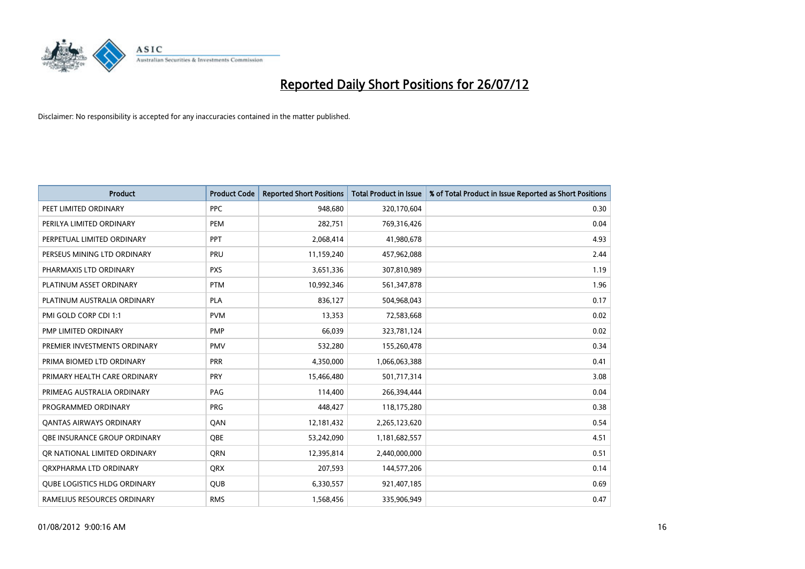

| <b>Product</b>                      | <b>Product Code</b> | <b>Reported Short Positions</b> | <b>Total Product in Issue</b> | % of Total Product in Issue Reported as Short Positions |
|-------------------------------------|---------------------|---------------------------------|-------------------------------|---------------------------------------------------------|
| PEET LIMITED ORDINARY               | <b>PPC</b>          | 948,680                         | 320,170,604                   | 0.30                                                    |
| PERILYA LIMITED ORDINARY            | PEM                 | 282,751                         | 769,316,426                   | 0.04                                                    |
| PERPETUAL LIMITED ORDINARY          | PPT                 | 2,068,414                       | 41,980,678                    | 4.93                                                    |
| PERSEUS MINING LTD ORDINARY         | PRU                 | 11,159,240                      | 457,962,088                   | 2.44                                                    |
| PHARMAXIS LTD ORDINARY              | <b>PXS</b>          | 3,651,336                       | 307,810,989                   | 1.19                                                    |
| PLATINUM ASSET ORDINARY             | <b>PTM</b>          | 10,992,346                      | 561,347,878                   | 1.96                                                    |
| PLATINUM AUSTRALIA ORDINARY         | <b>PLA</b>          | 836,127                         | 504,968,043                   | 0.17                                                    |
| PMI GOLD CORP CDI 1:1               | <b>PVM</b>          | 13,353                          | 72,583,668                    | 0.02                                                    |
| PMP LIMITED ORDINARY                | <b>PMP</b>          | 66,039                          | 323,781,124                   | 0.02                                                    |
| PREMIER INVESTMENTS ORDINARY        | <b>PMV</b>          | 532,280                         | 155,260,478                   | 0.34                                                    |
| PRIMA BIOMED LTD ORDINARY           | <b>PRR</b>          | 4,350,000                       | 1,066,063,388                 | 0.41                                                    |
| PRIMARY HEALTH CARE ORDINARY        | PRY                 | 15,466,480                      | 501,717,314                   | 3.08                                                    |
| PRIMEAG AUSTRALIA ORDINARY          | PAG                 | 114,400                         | 266,394,444                   | 0.04                                                    |
| PROGRAMMED ORDINARY                 | <b>PRG</b>          | 448,427                         | 118,175,280                   | 0.38                                                    |
| <b>QANTAS AIRWAYS ORDINARY</b>      | QAN                 | 12,181,432                      | 2,265,123,620                 | 0.54                                                    |
| <b>OBE INSURANCE GROUP ORDINARY</b> | <b>OBE</b>          | 53,242,090                      | 1,181,682,557                 | 4.51                                                    |
| OR NATIONAL LIMITED ORDINARY        | <b>ORN</b>          | 12,395,814                      | 2,440,000,000                 | 0.51                                                    |
| ORXPHARMA LTD ORDINARY              | <b>QRX</b>          | 207,593                         | 144,577,206                   | 0.14                                                    |
| <b>QUBE LOGISTICS HLDG ORDINARY</b> | <b>QUB</b>          | 6,330,557                       | 921,407,185                   | 0.69                                                    |
| RAMELIUS RESOURCES ORDINARY         | <b>RMS</b>          | 1,568,456                       | 335,906,949                   | 0.47                                                    |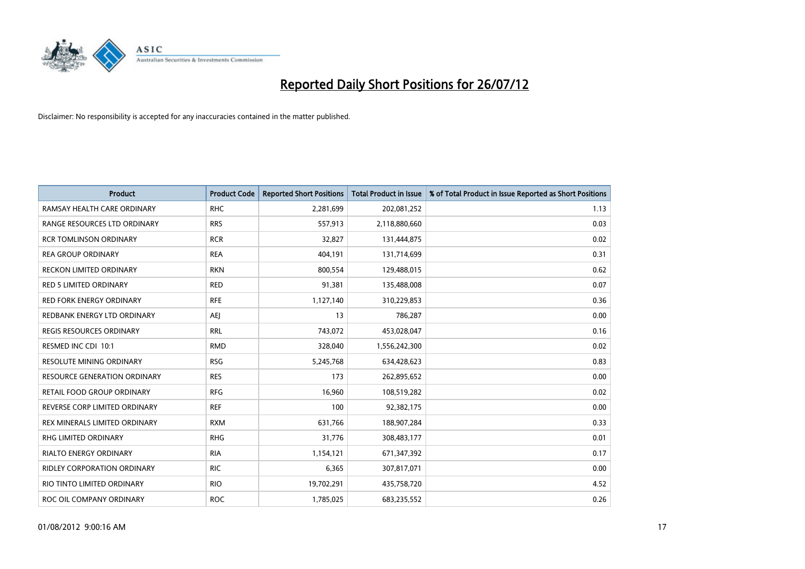

| <b>Product</b>                      | <b>Product Code</b> | <b>Reported Short Positions</b> | <b>Total Product in Issue</b> | % of Total Product in Issue Reported as Short Positions |
|-------------------------------------|---------------------|---------------------------------|-------------------------------|---------------------------------------------------------|
| RAMSAY HEALTH CARE ORDINARY         | <b>RHC</b>          | 2,281,699                       | 202,081,252                   | 1.13                                                    |
| RANGE RESOURCES LTD ORDINARY        | <b>RRS</b>          | 557,913                         | 2,118,880,660                 | 0.03                                                    |
| <b>RCR TOMLINSON ORDINARY</b>       | <b>RCR</b>          | 32,827                          | 131,444,875                   | 0.02                                                    |
| <b>REA GROUP ORDINARY</b>           | <b>REA</b>          | 404,191                         | 131,714,699                   | 0.31                                                    |
| RECKON LIMITED ORDINARY             | <b>RKN</b>          | 800,554                         | 129,488,015                   | 0.62                                                    |
| <b>RED 5 LIMITED ORDINARY</b>       | <b>RED</b>          | 91,381                          | 135,488,008                   | 0.07                                                    |
| <b>RED FORK ENERGY ORDINARY</b>     | <b>RFE</b>          | 1,127,140                       | 310,229,853                   | 0.36                                                    |
| REDBANK ENERGY LTD ORDINARY         | AEJ                 | 13                              | 786,287                       | 0.00                                                    |
| REGIS RESOURCES ORDINARY            | <b>RRL</b>          | 743,072                         | 453,028,047                   | 0.16                                                    |
| RESMED INC CDI 10:1                 | <b>RMD</b>          | 328,040                         | 1,556,242,300                 | 0.02                                                    |
| <b>RESOLUTE MINING ORDINARY</b>     | <b>RSG</b>          | 5,245,768                       | 634,428,623                   | 0.83                                                    |
| <b>RESOURCE GENERATION ORDINARY</b> | <b>RES</b>          | 173                             | 262,895,652                   | 0.00                                                    |
| RETAIL FOOD GROUP ORDINARY          | <b>RFG</b>          | 16,960                          | 108,519,282                   | 0.02                                                    |
| REVERSE CORP LIMITED ORDINARY       | <b>REF</b>          | 100                             | 92,382,175                    | 0.00                                                    |
| REX MINERALS LIMITED ORDINARY       | <b>RXM</b>          | 631,766                         | 188,907,284                   | 0.33                                                    |
| <b>RHG LIMITED ORDINARY</b>         | <b>RHG</b>          | 31,776                          | 308,483,177                   | 0.01                                                    |
| <b>RIALTO ENERGY ORDINARY</b>       | <b>RIA</b>          | 1,154,121                       | 671,347,392                   | 0.17                                                    |
| RIDLEY CORPORATION ORDINARY         | <b>RIC</b>          | 6,365                           | 307,817,071                   | 0.00                                                    |
| RIO TINTO LIMITED ORDINARY          | <b>RIO</b>          | 19,702,291                      | 435,758,720                   | 4.52                                                    |
| ROC OIL COMPANY ORDINARY            | <b>ROC</b>          | 1,785,025                       | 683,235,552                   | 0.26                                                    |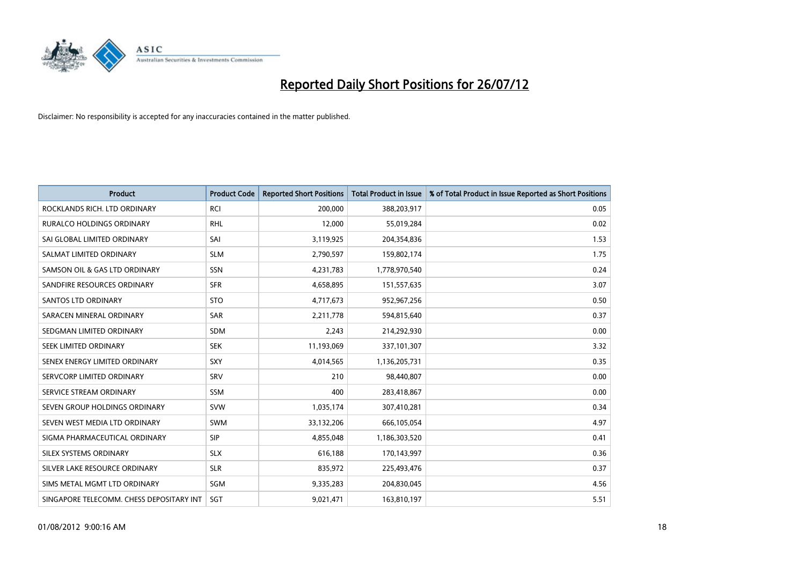

| <b>Product</b>                           | <b>Product Code</b> | <b>Reported Short Positions</b> | <b>Total Product in Issue</b> | % of Total Product in Issue Reported as Short Positions |
|------------------------------------------|---------------------|---------------------------------|-------------------------------|---------------------------------------------------------|
| ROCKLANDS RICH. LTD ORDINARY             | <b>RCI</b>          | 200,000                         | 388,203,917                   | 0.05                                                    |
| RURALCO HOLDINGS ORDINARY                | <b>RHL</b>          | 12,000                          | 55,019,284                    | 0.02                                                    |
| SAI GLOBAL LIMITED ORDINARY              | SAI                 | 3,119,925                       | 204,354,836                   | 1.53                                                    |
| SALMAT LIMITED ORDINARY                  | <b>SLM</b>          | 2,790,597                       | 159,802,174                   | 1.75                                                    |
| SAMSON OIL & GAS LTD ORDINARY            | SSN                 | 4,231,783                       | 1,778,970,540                 | 0.24                                                    |
| SANDFIRE RESOURCES ORDINARY              | <b>SFR</b>          | 4,658,895                       | 151,557,635                   | 3.07                                                    |
| SANTOS LTD ORDINARY                      | <b>STO</b>          | 4,717,673                       | 952,967,256                   | 0.50                                                    |
| SARACEN MINERAL ORDINARY                 | SAR                 | 2,211,778                       | 594,815,640                   | 0.37                                                    |
| SEDGMAN LIMITED ORDINARY                 | <b>SDM</b>          | 2,243                           | 214,292,930                   | 0.00                                                    |
| SEEK LIMITED ORDINARY                    | <b>SEK</b>          | 11,193,069                      | 337,101,307                   | 3.32                                                    |
| SENEX ENERGY LIMITED ORDINARY            | <b>SXY</b>          | 4,014,565                       | 1,136,205,731                 | 0.35                                                    |
| SERVCORP LIMITED ORDINARY                | SRV                 | 210                             | 98,440,807                    | 0.00                                                    |
| SERVICE STREAM ORDINARY                  | <b>SSM</b>          | 400                             | 283,418,867                   | 0.00                                                    |
| SEVEN GROUP HOLDINGS ORDINARY            | <b>SVW</b>          | 1,035,174                       | 307,410,281                   | 0.34                                                    |
| SEVEN WEST MEDIA LTD ORDINARY            | <b>SWM</b>          | 33,132,206                      | 666,105,054                   | 4.97                                                    |
| SIGMA PHARMACEUTICAL ORDINARY            | <b>SIP</b>          | 4,855,048                       | 1,186,303,520                 | 0.41                                                    |
| SILEX SYSTEMS ORDINARY                   | <b>SLX</b>          | 616,188                         | 170,143,997                   | 0.36                                                    |
| SILVER LAKE RESOURCE ORDINARY            | <b>SLR</b>          | 835,972                         | 225,493,476                   | 0.37                                                    |
| SIMS METAL MGMT LTD ORDINARY             | SGM                 | 9,335,283                       | 204,830,045                   | 4.56                                                    |
| SINGAPORE TELECOMM. CHESS DEPOSITARY INT | SGT                 | 9,021,471                       | 163,810,197                   | 5.51                                                    |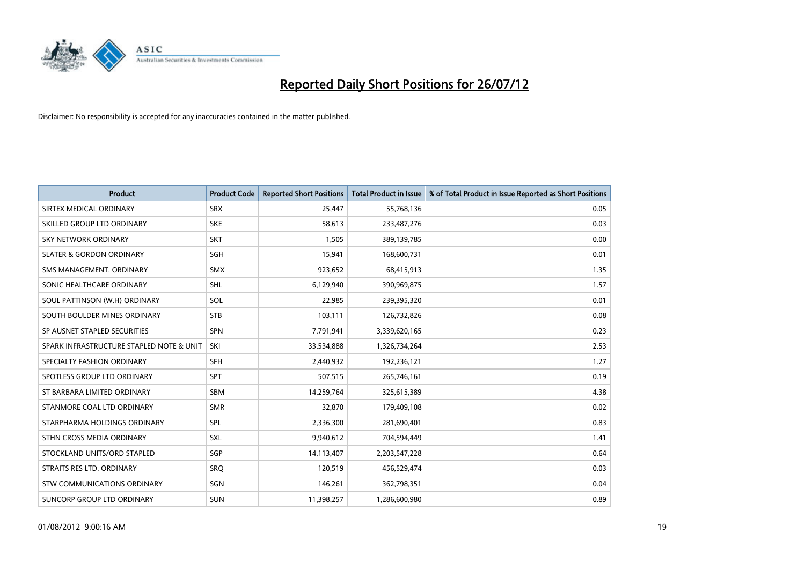

| <b>Product</b>                           | <b>Product Code</b> | <b>Reported Short Positions</b> | <b>Total Product in Issue</b> | % of Total Product in Issue Reported as Short Positions |
|------------------------------------------|---------------------|---------------------------------|-------------------------------|---------------------------------------------------------|
| SIRTEX MEDICAL ORDINARY                  | <b>SRX</b>          | 25.447                          | 55,768,136                    | 0.05                                                    |
| SKILLED GROUP LTD ORDINARY               | <b>SKE</b>          | 58,613                          | 233,487,276                   | 0.03                                                    |
| <b>SKY NETWORK ORDINARY</b>              | <b>SKT</b>          | 1,505                           | 389,139,785                   | 0.00                                                    |
| <b>SLATER &amp; GORDON ORDINARY</b>      | SGH                 | 15,941                          | 168,600,731                   | 0.01                                                    |
| SMS MANAGEMENT, ORDINARY                 | <b>SMX</b>          | 923,652                         | 68,415,913                    | 1.35                                                    |
| SONIC HEALTHCARE ORDINARY                | <b>SHL</b>          | 6,129,940                       | 390,969,875                   | 1.57                                                    |
| SOUL PATTINSON (W.H) ORDINARY            | SOL                 | 22,985                          | 239,395,320                   | 0.01                                                    |
| SOUTH BOULDER MINES ORDINARY             | <b>STB</b>          | 103,111                         | 126,732,826                   | 0.08                                                    |
| SP AUSNET STAPLED SECURITIES             | <b>SPN</b>          | 7,791,941                       | 3,339,620,165                 | 0.23                                                    |
| SPARK INFRASTRUCTURE STAPLED NOTE & UNIT | SKI                 | 33,534,888                      | 1,326,734,264                 | 2.53                                                    |
| SPECIALTY FASHION ORDINARY               | <b>SFH</b>          | 2,440,932                       | 192,236,121                   | 1.27                                                    |
| SPOTLESS GROUP LTD ORDINARY              | <b>SPT</b>          | 507,515                         | 265,746,161                   | 0.19                                                    |
| ST BARBARA LIMITED ORDINARY              | <b>SBM</b>          | 14,259,764                      | 325,615,389                   | 4.38                                                    |
| STANMORE COAL LTD ORDINARY               | <b>SMR</b>          | 32,870                          | 179,409,108                   | 0.02                                                    |
| STARPHARMA HOLDINGS ORDINARY             | SPL                 | 2,336,300                       | 281,690,401                   | 0.83                                                    |
| STHN CROSS MEDIA ORDINARY                | <b>SXL</b>          | 9,940,612                       | 704,594,449                   | 1.41                                                    |
| STOCKLAND UNITS/ORD STAPLED              | SGP                 | 14,113,407                      | 2,203,547,228                 | 0.64                                                    |
| STRAITS RES LTD. ORDINARY                | SRQ                 | 120,519                         | 456,529,474                   | 0.03                                                    |
| STW COMMUNICATIONS ORDINARY              | SGN                 | 146,261                         | 362,798,351                   | 0.04                                                    |
| SUNCORP GROUP LTD ORDINARY               | <b>SUN</b>          | 11,398,257                      | 1,286,600,980                 | 0.89                                                    |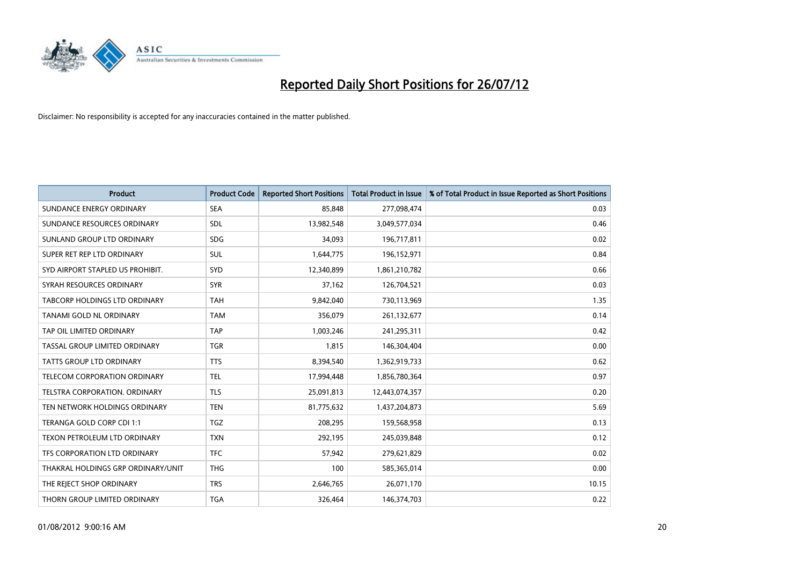

| <b>Product</b>                      | <b>Product Code</b> | <b>Reported Short Positions</b> | <b>Total Product in Issue</b> | % of Total Product in Issue Reported as Short Positions |
|-------------------------------------|---------------------|---------------------------------|-------------------------------|---------------------------------------------------------|
| SUNDANCE ENERGY ORDINARY            | <b>SEA</b>          | 85,848                          | 277,098,474                   | 0.03                                                    |
| SUNDANCE RESOURCES ORDINARY         | <b>SDL</b>          | 13,982,548                      | 3,049,577,034                 | 0.46                                                    |
| SUNLAND GROUP LTD ORDINARY          | <b>SDG</b>          | 34,093                          | 196,717,811                   | 0.02                                                    |
| SUPER RET REP LTD ORDINARY          | <b>SUL</b>          | 1,644,775                       | 196,152,971                   | 0.84                                                    |
| SYD AIRPORT STAPLED US PROHIBIT.    | <b>SYD</b>          | 12,340,899                      | 1,861,210,782                 | 0.66                                                    |
| SYRAH RESOURCES ORDINARY            | <b>SYR</b>          | 37,162                          | 126,704,521                   | 0.03                                                    |
| TABCORP HOLDINGS LTD ORDINARY       | <b>TAH</b>          | 9,842,040                       | 730,113,969                   | 1.35                                                    |
| TANAMI GOLD NL ORDINARY             | <b>TAM</b>          | 356,079                         | 261,132,677                   | 0.14                                                    |
| TAP OIL LIMITED ORDINARY            | <b>TAP</b>          | 1,003,246                       | 241,295,311                   | 0.42                                                    |
| TASSAL GROUP LIMITED ORDINARY       | <b>TGR</b>          | 1,815                           | 146,304,404                   | 0.00                                                    |
| TATTS GROUP LTD ORDINARY            | <b>TTS</b>          | 8,394,540                       | 1,362,919,733                 | 0.62                                                    |
| <b>TELECOM CORPORATION ORDINARY</b> | <b>TEL</b>          | 17,994,448                      | 1,856,780,364                 | 0.97                                                    |
| TELSTRA CORPORATION. ORDINARY       | <b>TLS</b>          | 25,091,813                      | 12,443,074,357                | 0.20                                                    |
| TEN NETWORK HOLDINGS ORDINARY       | <b>TEN</b>          | 81,775,632                      | 1,437,204,873                 | 5.69                                                    |
| TERANGA GOLD CORP CDI 1:1           | <b>TGZ</b>          | 208,295                         | 159,568,958                   | 0.13                                                    |
| TEXON PETROLEUM LTD ORDINARY        | <b>TXN</b>          | 292,195                         | 245,039,848                   | 0.12                                                    |
| TFS CORPORATION LTD ORDINARY        | <b>TFC</b>          | 57,942                          | 279,621,829                   | 0.02                                                    |
| THAKRAL HOLDINGS GRP ORDINARY/UNIT  | <b>THG</b>          | 100                             | 585,365,014                   | 0.00                                                    |
| THE REJECT SHOP ORDINARY            | <b>TRS</b>          | 2,646,765                       | 26,071,170                    | 10.15                                                   |
| THORN GROUP LIMITED ORDINARY        | <b>TGA</b>          | 326,464                         | 146,374,703                   | 0.22                                                    |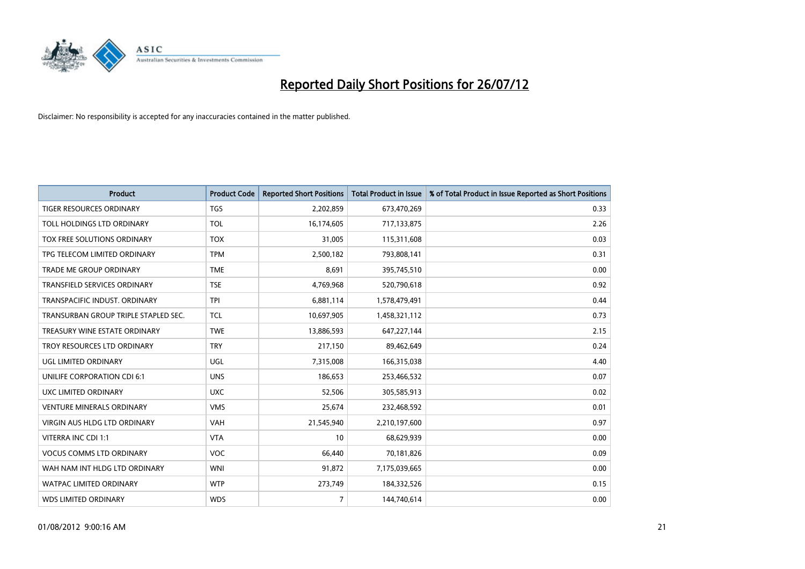

| <b>Product</b>                       | <b>Product Code</b> | <b>Reported Short Positions</b> | <b>Total Product in Issue</b> | % of Total Product in Issue Reported as Short Positions |
|--------------------------------------|---------------------|---------------------------------|-------------------------------|---------------------------------------------------------|
| <b>TIGER RESOURCES ORDINARY</b>      | <b>TGS</b>          | 2,202,859                       | 673,470,269                   | 0.33                                                    |
| TOLL HOLDINGS LTD ORDINARY           | <b>TOL</b>          | 16,174,605                      | 717,133,875                   | 2.26                                                    |
| TOX FREE SOLUTIONS ORDINARY          | <b>TOX</b>          | 31,005                          | 115,311,608                   | 0.03                                                    |
| TPG TELECOM LIMITED ORDINARY         | <b>TPM</b>          | 2,500,182                       | 793,808,141                   | 0.31                                                    |
| <b>TRADE ME GROUP ORDINARY</b>       | <b>TME</b>          | 8,691                           | 395,745,510                   | 0.00                                                    |
| <b>TRANSFIELD SERVICES ORDINARY</b>  | <b>TSE</b>          | 4,769,968                       | 520,790,618                   | 0.92                                                    |
| TRANSPACIFIC INDUST, ORDINARY        | <b>TPI</b>          | 6,881,114                       | 1,578,479,491                 | 0.44                                                    |
| TRANSURBAN GROUP TRIPLE STAPLED SEC. | <b>TCL</b>          | 10,697,905                      | 1,458,321,112                 | 0.73                                                    |
| TREASURY WINE ESTATE ORDINARY        | <b>TWE</b>          | 13,886,593                      | 647,227,144                   | 2.15                                                    |
| TROY RESOURCES LTD ORDINARY          | <b>TRY</b>          | 217,150                         | 89,462,649                    | 0.24                                                    |
| UGL LIMITED ORDINARY                 | UGL                 | 7,315,008                       | 166,315,038                   | 4.40                                                    |
| <b>UNILIFE CORPORATION CDI 6:1</b>   | <b>UNS</b>          | 186,653                         | 253,466,532                   | 0.07                                                    |
| UXC LIMITED ORDINARY                 | <b>UXC</b>          | 52,506                          | 305,585,913                   | 0.02                                                    |
| <b>VENTURE MINERALS ORDINARY</b>     | <b>VMS</b>          | 25,674                          | 232,468,592                   | 0.01                                                    |
| <b>VIRGIN AUS HLDG LTD ORDINARY</b>  | <b>VAH</b>          | 21,545,940                      | 2,210,197,600                 | 0.97                                                    |
| VITERRA INC CDI 1:1                  | <b>VTA</b>          | 10                              | 68,629,939                    | 0.00                                                    |
| <b>VOCUS COMMS LTD ORDINARY</b>      | <b>VOC</b>          | 66,440                          | 70,181,826                    | 0.09                                                    |
| WAH NAM INT HLDG LTD ORDINARY        | <b>WNI</b>          | 91,872                          | 7,175,039,665                 | 0.00                                                    |
| <b>WATPAC LIMITED ORDINARY</b>       | <b>WTP</b>          | 273,749                         | 184,332,526                   | 0.15                                                    |
| <b>WDS LIMITED ORDINARY</b>          | <b>WDS</b>          | $\overline{7}$                  | 144,740,614                   | 0.00                                                    |